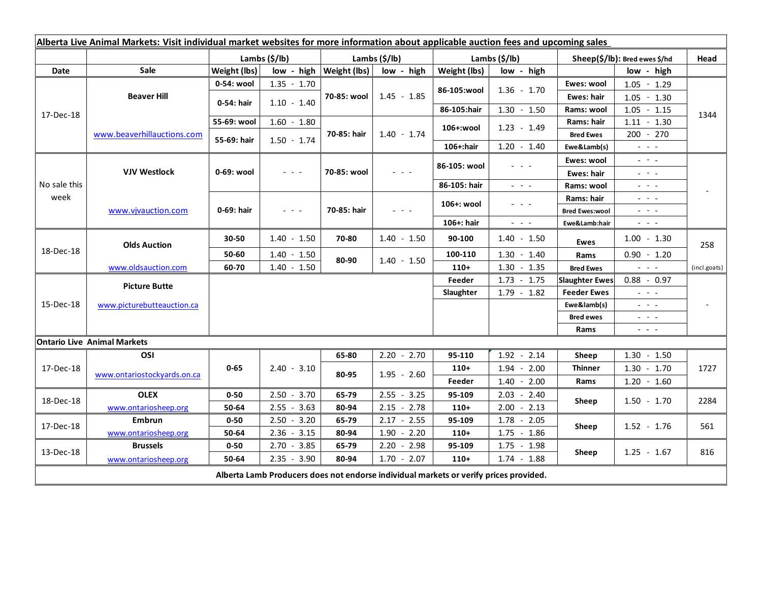| Alberta Live Animal Markets: Visit individual market websites for more information about applicable auction fees and upcoming sales |                                    |                |               |                                            |                                 |                            |                                                                                                                                                                                                                                                                                                                                                                                                                                                |                                                                   |                                                                                                                                                                                                                                                                                                                                                                                                                                                |                |
|-------------------------------------------------------------------------------------------------------------------------------------|------------------------------------|----------------|---------------|--------------------------------------------|---------------------------------|----------------------------|------------------------------------------------------------------------------------------------------------------------------------------------------------------------------------------------------------------------------------------------------------------------------------------------------------------------------------------------------------------------------------------------------------------------------------------------|-------------------------------------------------------------------|------------------------------------------------------------------------------------------------------------------------------------------------------------------------------------------------------------------------------------------------------------------------------------------------------------------------------------------------------------------------------------------------------------------------------------------------|----------------|
|                                                                                                                                     |                                    | Lambs $(S/lb)$ |               | Lambs $(S/lb)$                             |                                 | Lambs (\$/lb)              |                                                                                                                                                                                                                                                                                                                                                                                                                                                | Sheep(\$/lb): Bred ewes \$/hd                                     |                                                                                                                                                                                                                                                                                                                                                                                                                                                | Head           |
| Date                                                                                                                                | Sale                               | Weight (lbs)   |               | $low - high   Weight (lbs) $<br>low - high |                                 | Weight (lbs)<br>low - high |                                                                                                                                                                                                                                                                                                                                                                                                                                                | low - high                                                        |                                                                                                                                                                                                                                                                                                                                                                                                                                                |                |
| 17-Dec-18                                                                                                                           | <b>Beaver Hill</b>                 | 0-54: wool     | $1.35 - 1.70$ | 70-85: wool                                | $1.45 - 1.85$                   |                            | $1.36 - 1.70$                                                                                                                                                                                                                                                                                                                                                                                                                                  | Ewes: wool                                                        | $1.05 - 1.29$                                                                                                                                                                                                                                                                                                                                                                                                                                  | 1344           |
|                                                                                                                                     |                                    | 0-54: hair     | $1.10 - 1.40$ |                                            |                                 | 86-105:wool                |                                                                                                                                                                                                                                                                                                                                                                                                                                                | <b>Ewes: hair</b>                                                 | $1.05 - 1.30$                                                                                                                                                                                                                                                                                                                                                                                                                                  |                |
|                                                                                                                                     |                                    |                |               |                                            |                                 | 86-105:hair                | $1.30 - 1.50$                                                                                                                                                                                                                                                                                                                                                                                                                                  | Rams: wool                                                        | $1.05 - 1.15$                                                                                                                                                                                                                                                                                                                                                                                                                                  |                |
|                                                                                                                                     | www.beaverhillauctions.com         | 55-69: wool    | $1.60 - 1.80$ | 70-85: hair                                | $1.40 - 1.74$                   | 106+:wool                  | $1.23 - 1.49$                                                                                                                                                                                                                                                                                                                                                                                                                                  | Rams: hair                                                        | $1.11 - 1.30$                                                                                                                                                                                                                                                                                                                                                                                                                                  |                |
|                                                                                                                                     |                                    | 55-69: hair    | $1.50 - 1.74$ |                                            |                                 |                            |                                                                                                                                                                                                                                                                                                                                                                                                                                                | <b>Bred Ewes</b>                                                  | $200 - 270$                                                                                                                                                                                                                                                                                                                                                                                                                                    |                |
|                                                                                                                                     |                                    |                |               |                                            |                                 | $106 +:$ hair              | $1.20 - 1.40$                                                                                                                                                                                                                                                                                                                                                                                                                                  | Ewe&Lamb(s)                                                       | $\mathbb{Z}^2$ and $\mathbb{Z}^2$                                                                                                                                                                                                                                                                                                                                                                                                              |                |
| No sale this<br>week                                                                                                                | <b>VJV Westlock</b>                | 0-69: wool     | $  -$         | 70-85: wool                                | $ -$                            | 86-105: wool               | $ -$                                                                                                                                                                                                                                                                                                                                                                                                                                           | Ewes: wool                                                        | $\mathbb{L}^2 \times \mathbb{L}^2$                                                                                                                                                                                                                                                                                                                                                                                                             |                |
|                                                                                                                                     |                                    |                |               |                                            |                                 |                            |                                                                                                                                                                                                                                                                                                                                                                                                                                                | <b>Ewes: hair</b>                                                 | $  -$                                                                                                                                                                                                                                                                                                                                                                                                                                          |                |
|                                                                                                                                     |                                    |                |               |                                            |                                 | 86-105: hair               | $\frac{1}{2} \left( \frac{1}{2} \right) \frac{1}{2} \left( \frac{1}{2} \right) \frac{1}{2} \left( \frac{1}{2} \right) \frac{1}{2} \left( \frac{1}{2} \right) \frac{1}{2} \left( \frac{1}{2} \right) \frac{1}{2} \left( \frac{1}{2} \right) \frac{1}{2} \left( \frac{1}{2} \right) \frac{1}{2} \left( \frac{1}{2} \right) \frac{1}{2} \left( \frac{1}{2} \right) \frac{1}{2} \left( \frac{1}{2} \right) \frac{1}{2} \left( \frac{1}{2} \right)$ | Rams: wool                                                        | $  -$                                                                                                                                                                                                                                                                                                                                                                                                                                          |                |
|                                                                                                                                     | www.vjvauction.com                 | 0-69: hair     | $  -$         | 70-85: hair                                | $\frac{1}{2}$ and $\frac{1}{2}$ | 106+: wool                 | $ -$                                                                                                                                                                                                                                                                                                                                                                                                                                           | Rams: hair                                                        | $  -$                                                                                                                                                                                                                                                                                                                                                                                                                                          |                |
|                                                                                                                                     |                                    |                |               |                                            |                                 |                            |                                                                                                                                                                                                                                                                                                                                                                                                                                                | <b>Bred Ewes:wool</b>                                             | $\mathbf{L} = \mathbf{L} \cdot \mathbf{L}$                                                                                                                                                                                                                                                                                                                                                                                                     |                |
|                                                                                                                                     |                                    |                |               |                                            |                                 | 106+: hair                 | $\omega_{\rm{eff}}$ , $\omega_{\rm{eff}}$ , $\omega_{\rm{eff}}$                                                                                                                                                                                                                                                                                                                                                                                | Ewe&Lamb:hair                                                     | $\frac{1}{2} \left( \frac{1}{2} \right) \left( \frac{1}{2} \right) \left( \frac{1}{2} \right) \left( \frac{1}{2} \right)$                                                                                                                                                                                                                                                                                                                      |                |
| 18-Dec-18                                                                                                                           | <b>Olds Auction</b>                | 30-50          | $1.40 - 1.50$ | 70-80                                      | $1.40 - 1.50$                   | 90-100                     | $1.40 - 1.50$                                                                                                                                                                                                                                                                                                                                                                                                                                  | <b>Ewes</b>                                                       | $1.00 - 1.30$                                                                                                                                                                                                                                                                                                                                                                                                                                  | 258            |
|                                                                                                                                     |                                    | 50-60          | $1.40 - 1.50$ | 80-90                                      | $1.40 - 1.50$                   | 100-110                    | $1.30 - 1.40$                                                                                                                                                                                                                                                                                                                                                                                                                                  | Rams                                                              | $0.90 - 1.20$                                                                                                                                                                                                                                                                                                                                                                                                                                  |                |
|                                                                                                                                     | www.oldsauction.com                | 60-70          | $1.40 - 1.50$ |                                            |                                 | $110+$                     | $1.30 - 1.35$                                                                                                                                                                                                                                                                                                                                                                                                                                  | <b>Bred Ewes</b>                                                  | $\omega_{\rm{eff}}$ and $\omega_{\rm{eff}}$                                                                                                                                                                                                                                                                                                                                                                                                    | (incl.goats)   |
| 15-Dec-18                                                                                                                           | <b>Picture Butte</b>               |                |               |                                            |                                 | Feeder                     | $1.73 - 1.75$                                                                                                                                                                                                                                                                                                                                                                                                                                  | <b>Slaughter Ewes</b>                                             | $0.88 - 0.97$                                                                                                                                                                                                                                                                                                                                                                                                                                  |                |
|                                                                                                                                     | www.picturebutteauction.ca         |                |               |                                            |                                 | Slaughter                  | $1.79 - 1.82$                                                                                                                                                                                                                                                                                                                                                                                                                                  | <b>Feeder Ewes</b><br>$\omega_{\rm{eff}}$ and $\omega_{\rm{eff}}$ |                                                                                                                                                                                                                                                                                                                                                                                                                                                | $\blacksquare$ |
|                                                                                                                                     |                                    |                |               |                                            |                                 |                            |                                                                                                                                                                                                                                                                                                                                                                                                                                                | Ewe&lamb(s)                                                       | $\frac{1}{2} \left( \frac{1}{2} \right) = \frac{1}{2} \left( \frac{1}{2} \right)$                                                                                                                                                                                                                                                                                                                                                              |                |
|                                                                                                                                     |                                    |                |               |                                            |                                 |                            |                                                                                                                                                                                                                                                                                                                                                                                                                                                | <b>Bred ewes</b>                                                  | $\frac{1}{2} \left( \frac{1}{2} \right) \left( \frac{1}{2} \right) \left( \frac{1}{2} \right) \left( \frac{1}{2} \right)$                                                                                                                                                                                                                                                                                                                      |                |
|                                                                                                                                     |                                    |                |               |                                            |                                 |                            |                                                                                                                                                                                                                                                                                                                                                                                                                                                | Rams                                                              | $\frac{1}{2} \left( \frac{1}{2} \right) \frac{1}{2} \left( \frac{1}{2} \right) \frac{1}{2} \left( \frac{1}{2} \right) \frac{1}{2} \left( \frac{1}{2} \right) \frac{1}{2} \left( \frac{1}{2} \right) \frac{1}{2} \left( \frac{1}{2} \right) \frac{1}{2} \left( \frac{1}{2} \right) \frac{1}{2} \left( \frac{1}{2} \right) \frac{1}{2} \left( \frac{1}{2} \right) \frac{1}{2} \left( \frac{1}{2} \right) \frac{1}{2} \left( \frac{1}{2} \right)$ |                |
|                                                                                                                                     | <b>Ontario Live Animal Markets</b> |                |               |                                            |                                 |                            |                                                                                                                                                                                                                                                                                                                                                                                                                                                |                                                                   |                                                                                                                                                                                                                                                                                                                                                                                                                                                |                |
| 17-Dec-18                                                                                                                           | OSI                                | $0 - 65$       | $2.40 - 3.10$ | 65-80                                      | $2.20 - 2.70$                   | 95-110                     | $1.92 - 2.14$                                                                                                                                                                                                                                                                                                                                                                                                                                  | Sheep                                                             | $1.30 - 1.50$                                                                                                                                                                                                                                                                                                                                                                                                                                  |                |
|                                                                                                                                     | www.ontariostockyards.on.ca        |                |               | 80-95                                      | $1.95 - 2.60$                   | $110+$                     | $1.94 - 2.00$                                                                                                                                                                                                                                                                                                                                                                                                                                  | <b>Thinner</b><br>Rams                                            | $1.30 - 1.70$                                                                                                                                                                                                                                                                                                                                                                                                                                  | 1727           |
|                                                                                                                                     |                                    |                |               |                                            |                                 | Feeder                     | $1.40 - 2.00$                                                                                                                                                                                                                                                                                                                                                                                                                                  |                                                                   | $1.20 - 1.60$                                                                                                                                                                                                                                                                                                                                                                                                                                  |                |
| 18-Dec-18                                                                                                                           | <b>OLEX</b>                        | $0 - 50$       | $2.50 - 3.70$ | 65-79                                      | $2.55 - 3.25$                   | 95-109                     | $2.03 - 2.40$                                                                                                                                                                                                                                                                                                                                                                                                                                  | Sheep                                                             | $1.50 - 1.70$                                                                                                                                                                                                                                                                                                                                                                                                                                  | 2284           |
|                                                                                                                                     | www.ontariosheep.org               | 50-64          | $2.55 - 3.63$ | 80-94                                      | $2.15 - 2.78$                   | $110+$                     | $2.00 - 2.13$                                                                                                                                                                                                                                                                                                                                                                                                                                  |                                                                   |                                                                                                                                                                                                                                                                                                                                                                                                                                                |                |
| 17-Dec-18                                                                                                                           | <b>Embrun</b>                      | $0 - 50$       | $2.50 - 3.20$ | 65-79                                      | $2.17 - 2.55$                   | 95-109                     | $1.78 - 2.05$                                                                                                                                                                                                                                                                                                                                                                                                                                  | Sheep                                                             | $1.52 - 1.76$                                                                                                                                                                                                                                                                                                                                                                                                                                  | 561            |
|                                                                                                                                     | www.ontariosheep.org               | 50-64          | $2.36 - 3.15$ | 80-94                                      | $1.90 - 2.20$                   | $110+$                     | $1.75 - 1.86$                                                                                                                                                                                                                                                                                                                                                                                                                                  |                                                                   |                                                                                                                                                                                                                                                                                                                                                                                                                                                |                |
| 13-Dec-18                                                                                                                           | <b>Brussels</b>                    | $0 - 50$       | $2.70 - 3.85$ | 65-79                                      | $2.20 - 2.98$                   | 95-109                     | $1.75 - 1.98$                                                                                                                                                                                                                                                                                                                                                                                                                                  | Sheep                                                             | $1.25 - 1.67$                                                                                                                                                                                                                                                                                                                                                                                                                                  | 816            |
|                                                                                                                                     | www.ontariosheep.org               | 50-64          | $2.35 - 3.90$ | 80-94                                      | $1.70 - 2.07$                   | $110+$                     | $1.74 - 1.88$                                                                                                                                                                                                                                                                                                                                                                                                                                  |                                                                   |                                                                                                                                                                                                                                                                                                                                                                                                                                                |                |
| Alberta Lamb Producers does not endorse individual markets or verify prices provided.                                               |                                    |                |               |                                            |                                 |                            |                                                                                                                                                                                                                                                                                                                                                                                                                                                |                                                                   |                                                                                                                                                                                                                                                                                                                                                                                                                                                |                |